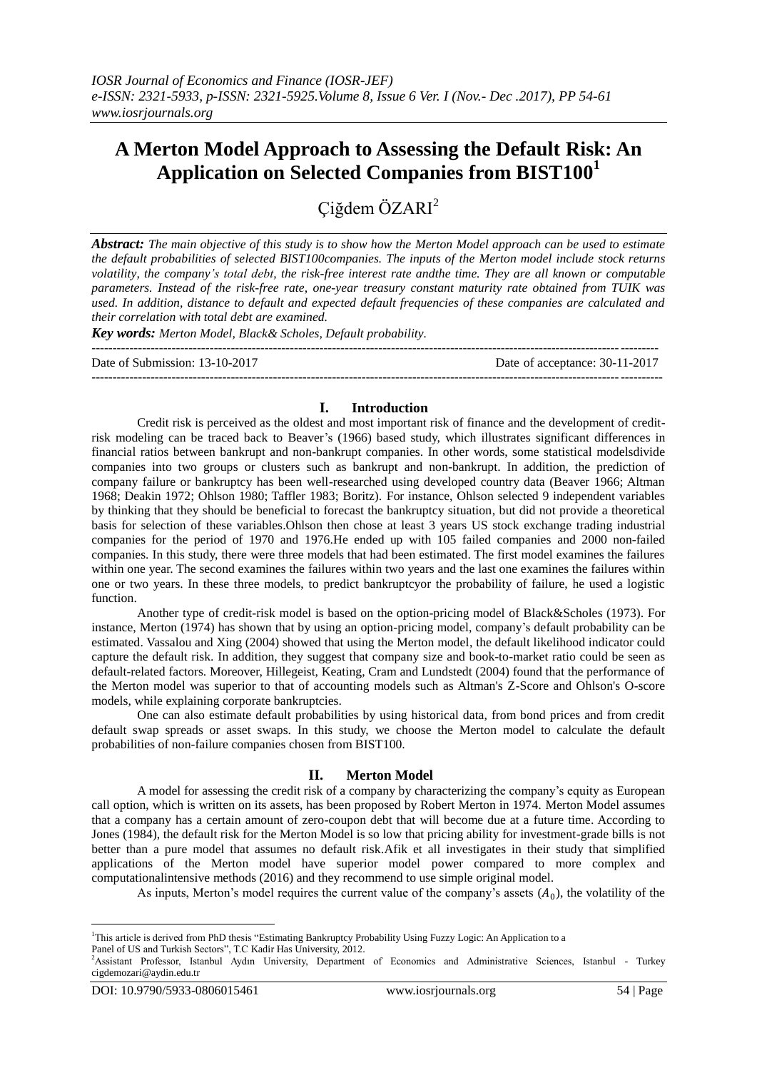# **A Merton Model Approach to Assessing the Default Risk: An Application on Selected Companies from BIST100<sup>1</sup>**

Çiğdem ÖZARI<sup>2</sup>

*Abstract: The main objective of this study is to show how the Merton Model approach can be used to estimate the default probabilities of selected BIST100companies. The inputs of the Merton model include stock returns volatility, the company's total debt, the risk-free interest rate andthe time. They are all known or computable parameters. Instead of the risk-free rate, one-year treasury constant maturity rate obtained from TUIK was used. In addition, distance to default and expected default frequencies of these companies are calculated and their correlation with total debt are examined.* 

*Key words: Merton Model, Black& Scholes, Default probability.*

-------------------------------------------------------------------------------------------------------------------------------------- Date of Submission: 13-10-2017 Date of acceptance: 30-11-2017

# **I. Introduction**

Credit risk is perceived as the oldest and most important risk of finance and the development of creditrisk modeling can be traced back to Beaver's (1966) based study, which illustrates significant differences in financial ratios between bankrupt and non-bankrupt companies. In other words, some statistical modelsdivide companies into two groups or clusters such as bankrupt and non-bankrupt. In addition, the prediction of company failure or bankruptcy has been well-researched using developed country data (Beaver 1966; Altman 1968; Deakin 1972; Ohlson 1980; Taffler 1983; Boritz). For instance, Ohlson selected 9 independent variables by thinking that they should be beneficial to forecast the bankruptcy situation, but did not provide a theoretical basis for selection of these variables.Ohlson then chose at least 3 years US stock exchange trading industrial companies for the period of 1970 and 1976.He ended up with 105 failed companies and 2000 non-failed companies. In this study, there were three models that had been estimated. The first model examines the failures within one year. The second examines the failures within two years and the last one examines the failures within one or two years. In these three models, to predict bankruptcyor the probability of failure, he used a logistic function.

Another type of credit-risk model is based on the option-pricing model of Black&Scholes (1973). For instance, Merton (1974) has shown that by using an option-pricing model, company's default probability can be estimated. Vassalou and Xing (2004) showed that using the Merton model, the default likelihood indicator could capture the default risk. In addition, they suggest that company size and book-to-market ratio could be seen as default-related factors. Moreover, Hillegeist, Keating, Cram and Lundstedt (2004) found that the performance of the Merton model was superior to that of accounting models such as Altman's Z-Score and Ohlson's O-score models, while explaining corporate bankruptcies.

One can also estimate default probabilities by using historical data, from bond prices and from credit default swap spreads or asset swaps. In this study, we choose the Merton model to calculate the default probabilities of non-failure companies chosen from BIST100.

## **II. Merton Model**

A model for assessing the credit risk of a company by characterizing the company's equity as European call option, which is written on its assets, has been proposed by Robert Merton in 1974. Merton Model assumes that a company has a certain amount of zero-coupon debt that will become due at a future time. According to Jones (1984), the default risk for the Merton Model is so low that pricing ability for investment-grade bills is not better than a pure model that assumes no default risk.Afik et all investigates in their study that simplified applications of the Merton model have superior model power compared to more complex and computationalintensive methods (2016) and they recommend to use simple original model.

As inputs, Merton's model requires the current value of the company's assets  $(A_0)$ , the volatility of the

<sup>&</sup>lt;u>.</u> <sup>1</sup>This article is derived from PhD thesis "Estimating Bankruptcy Probability Using Fuzzy Logic: An Application to a

Panel of US and Turkish Sectors", T.C Kadir Has University, 2012.

<sup>&</sup>lt;sup>2</sup>Assistant Professor, Istanbul Aydın University, Department of Economics and Administrative Sciences, Istanbul - Turkey cigdemozari@aydin.edu.tr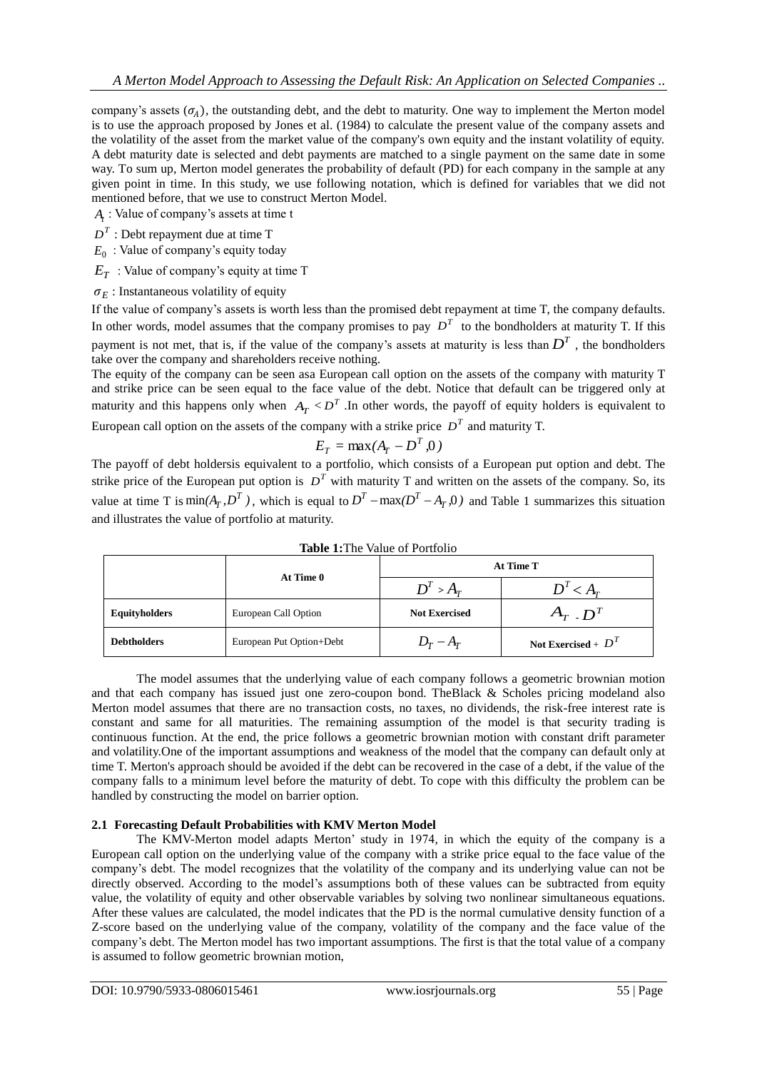company's assets  $(\sigma_A)$ , the outstanding debt, and the debt to maturity. One way to implement the Merton model is to use the approach proposed by Jones et al. (1984) to calculate the present value of the company assets and the volatility of the asset from the market value of the company's own equity and the instant volatility of equity. A debt maturity date is selected and debt payments are matched to a single payment on the same date in some way. To sum up, Merton model generates the probability of default (PD) for each company in the sample at any given point in time. In this study, we use following notation, which is defined for variables that we did not mentioned before, that we use to construct Merton Model.

*At* : Value of company's assets at time t

 $D<sup>T</sup>$  : Debt repayment due at time T

*E*0 : Value of company's equity today

*ET* : Value of company's equity at time T

 $\sigma_E$ : Instantaneous volatility of equity

If the value of company's assets is worth less than the promised debt repayment at time T, the company defaults. In other words, model assumes that the company promises to pay  $D<sup>T</sup>$  to the bondholders at maturity T. If this payment is not met, that is, if the value of the company's assets at maturity is less than  $D<sup>T</sup>$ , the bondholders take over the company and shareholders receive nothing.

The equity of the company can be seen asa European call option on the assets of the company with maturity T and strike price can be seen equal to the face value of the debt. Notice that default can be triggered only at maturity and this happens only when  $A_T < D^T$ . In other words, the payoff of equity holders is equivalent to European call option on the assets of the company with a strike price  $D<sup>T</sup>$  and maturity T.

$$
E_T = \max(A_T - D^T, 0)
$$

The payoff of debt holdersis equivalent to a portfolio, which consists of a European put option and debt. The strike price of the European put option is  $D<sup>T</sup>$  with maturity T and written on the assets of the company. So, its value at time T is  $\min(A_T, D^T)$ , which is equal to  $D^T - \max(D^T - A_T, 0)$  and Table 1 summarizes this situation and illustrates the value of portfolio at maturity.

|                      |                          | At Time T            |                       |  |
|----------------------|--------------------------|----------------------|-----------------------|--|
|                      | At Time 0                | $D^T > A_T$          | $D^{T}$<br>$\leq A_r$ |  |
| <b>Equityholders</b> | European Call Option     | <b>Not Exercised</b> | $A_{T}$ . $D^{T}$     |  |
| <b>Debtholders</b>   | European Put Option+Debt | $D_T - A_T$          | Not Exercised + $DT$  |  |

**Table 1:**The Value of Portfolio

The model assumes that the underlying value of each company follows a geometric brownian motion and that each company has issued just one zero-coupon bond. TheBlack & Scholes pricing modeland also Merton model assumes that there are no transaction costs, no taxes, no dividends, the risk-free interest rate is constant and same for all maturities. The remaining assumption of the model is that security trading is continuous function. At the end, the price follows a geometric brownian motion with constant drift parameter and volatility.One of the important assumptions and weakness of the model that the company can default only at time T. Merton's approach should be avoided if the debt can be recovered in the case of a debt, if the value of the company falls to a minimum level before the maturity of debt. To cope with this difficulty the problem can be handled by constructing the model on barrier option.

# **2.1 Forecasting Default Probabilities with KMV Merton Model**

The KMV-Merton model adapts Merton' study in 1974, in which the equity of the company is a European call option on the underlying value of the company with a strike price equal to the face value of the company's debt. The model recognizes that the volatility of the company and its underlying value can not be directly observed. According to the model's assumptions both of these values can be subtracted from equity value, the volatility of equity and other observable variables by solving two nonlinear simultaneous equations. After these values are calculated, the model indicates that the PD is the normal cumulative density function of a Z-score based on the underlying value of the company, volatility of the company and the face value of the company's debt. The Merton model has two important assumptions. The first is that the total value of a company is assumed to follow geometric brownian motion,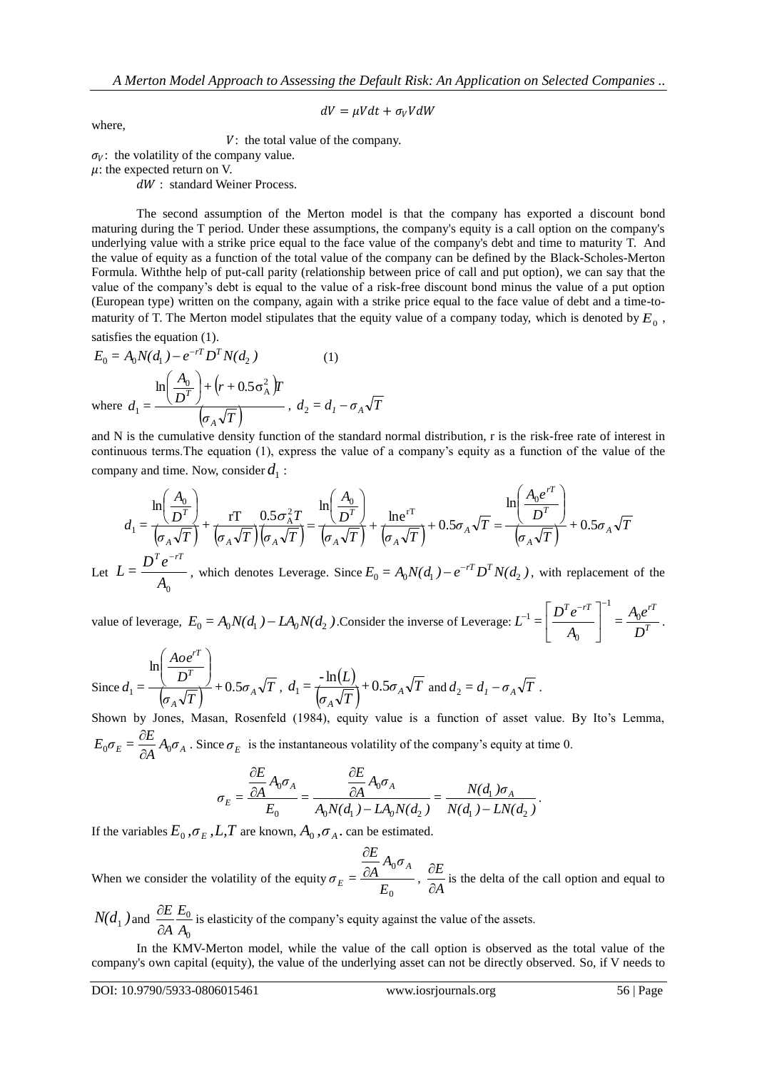$$
dV = \mu V dt + \sigma_V V dW
$$

where,

 $V:$  the total value of the company.

 $\sigma_V$ : the volatility of the company value.

 $\mu$ : the expected return on V.

dW : standard Weiner Process.

The second assumption of the Merton model is that the company has exported a discount bond maturing during the T period. Under these assumptions, the company's equity is a call option on the company's underlying value with a strike price equal to the face value of the company's debt and time to maturity T. And the value of equity as a function of the total value of the company can be defined by the Black-Scholes-Merton Formula. Withthe help of put-call parity (relationship between price of call and put option), we can say that the value of the company's debt is equal to the value of a risk-free discount bond minus the value of a put option (European type) written on the company, again with a strike price equal to the face value of debt and a time-tomaturity of T. The Merton model stipulates that the equity value of a company today, which is denoted by  $E_0$ , satisfies the equation (1).

$$
E_0 = A_0 N(d_1) - e^{-rT} D^T N(d_2)
$$
\n
$$
\text{where } d_1 = \frac{\ln\left(\frac{A_0}{D^T}\right) + \left(r + 0.5\sigma_A^2\right) T}{\left(\sigma_A \sqrt{T}\right)}, d_2 = d_1 - \sigma_A \sqrt{T}
$$

and N is the cumulative density function of the standard normal distribution, r is the risk-free rate of interest in continuous terms.The equation (1), express the value of a company's equity as a function of the value of the company and time. Now, consider  $d_1$  :

$$
d_1 = \frac{\ln\left(\frac{A_0}{D^T}\right)}{\left(\sigma_A \sqrt{T}\right)} + \frac{rT}{\left(\sigma_A \sqrt{T}\right)\left(\sigma_A \sqrt{T}\right)} = \frac{\ln\left(\frac{A_0}{D^T}\right)}{\left(\sigma_A \sqrt{T}\right)} + \frac{\ln e^{rT}}{\left(\sigma_A \sqrt{T}\right)} + 0.5\sigma_A\sqrt{T} = \frac{\ln\left(\frac{A_0e^{rT}}{D^T}\right)}{\left(\sigma_A \sqrt{T}\right)} + 0.5\sigma_A\sqrt{T}
$$

Let  $L = \frac{L}{A_0}$  $L = \frac{D^T e}{\cdot}$ , which denotes Leverage. Since  $E_0 = A_0 N(d_1) - e^{-rT} D^T N(d_2)$ , with replacement of the

value of leverage,  $E_0 = A_0 N(d_1) - L A_0 N(d_2)$ . Consider the inverse of Leverage:  $L^{-1} = \left| \frac{L}{d} \right|_0^{\infty} = \frac{A_0 C}{D^2}$  $T e^{-rT}$   $\begin{bmatrix} 1 & 0 \end{bmatrix}$ *D*  $=\frac{A_0e}{\cdot}$ *A*  $L^{-1} = \left| \frac{D^T e^{-rT}}{r} \right| = \frac{A_0}{a}$ 1  $\theta$ 1  $c^{-1} = \left[ \frac{D^T e^{-rT}}{4} \right]^{-1}$  $\overline{\phantom{a}}$  $\overline{\phantom{a}}$  $\mathsf{I}$ L  $\mathbf{r}$ .

Since 
$$
d_1 = \frac{\ln\left(\frac{Aoe^{rT}}{D^T}\right)}{\left(\sigma_A\sqrt{T}\right)} + 0.5\sigma_A\sqrt{T}
$$
,  $d_1 = \frac{-\ln(L)}{\left(\sigma_A\sqrt{T}\right)} + 0.5\sigma_A\sqrt{T}$  and  $d_2 = d_1 - \sigma_A\sqrt{T}$ .

Shown by Jones, Masan, Rosenfeld (1984), equity value is a function of asset value. By Ito's Lemma,  $E = \frac{\partial L}{\partial A} A_0 \sigma_A$  $E_0 \sigma_E = \frac{\partial E}{\partial A} A_0$  $\frac{\partial E}{\partial A} A_0 \sigma_A$ . Since  $\sigma_E$  is the instantaneous volatility of the company's equity at time 0.

$$
\sigma_E = \frac{\frac{\partial E}{\partial A} A_0 \sigma_A}{E_0} = \frac{\frac{\partial E}{\partial A} A_0 \sigma_A}{A_0 N(d_1) - L A_0 N(d_2)} = \frac{N(d_1) \sigma_A}{N(d_1) - L N(d_2)}.
$$

If the variables  $E_0$ ,  $\sigma_E$ ,  $L$ ,  $T$  are known,  $A_0$ ,  $\sigma_A$ . can be estimated.

When we consider the volatility of the equity 0  $\mathbf{0}$ *E*  $A_0 \sigma$ *A E*  $\sigma_E = \frac{\overline{OA}^{H_0O} A}{\sigma}$  $E = \frac{\hat{C}}{2}$  $\hat{o}$ ,  $\frac{\partial E}{\partial A}$ *E*  $\hat{o}$  $\frac{\partial E}{\partial t}$  is the delta of the call option and equal to

 $N(d_1)$  and  $\mathbf{0}$ 0 *A E A E*  $\partial$  $\frac{\partial E}{\partial t} E_0$  is elasticity of the company's equity against the value of the assets.

In the KMV-Merton model, while the value of the call option is observed as the total value of the company's own capital (equity), the value of the underlying asset can not be directly observed. So, if V needs to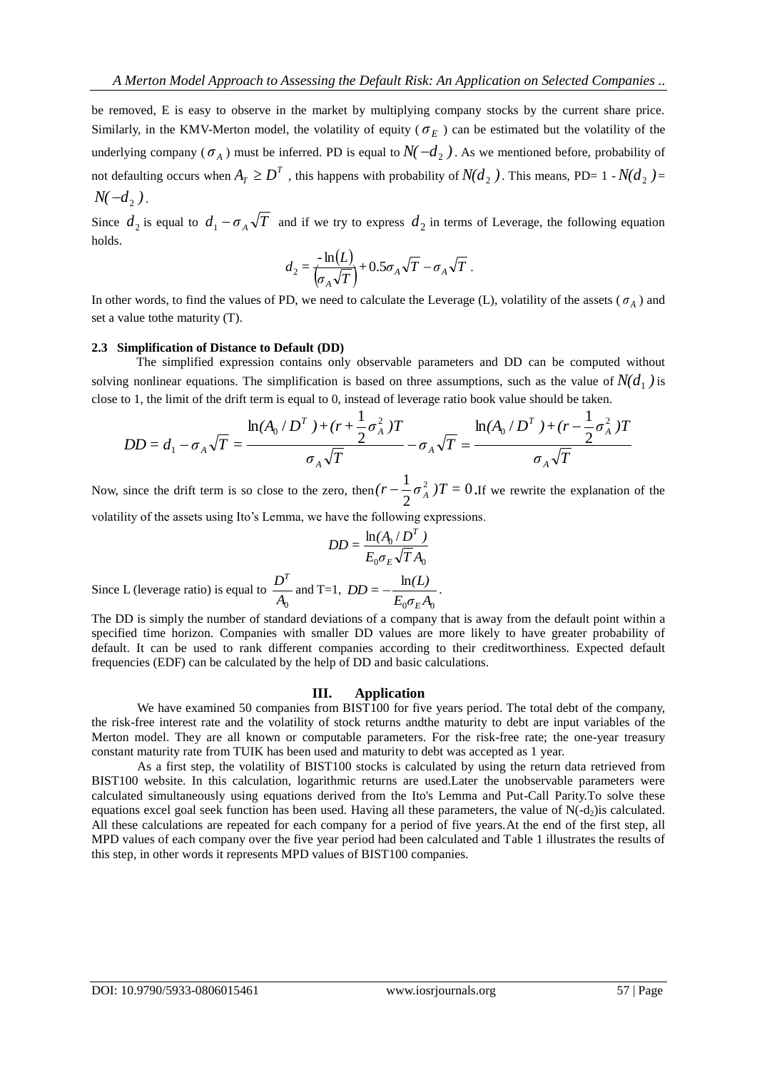be removed, E is easy to observe in the market by multiplying company stocks by the current share price. Similarly, in the KMV-Merton model, the volatility of equity ( $\sigma_E$ ) can be estimated but the volatility of the underlying company ( $\sigma_A$ ) must be inferred. PD is equal to  $N(-d_2)$ . As we mentioned before, probability of not defaulting occurs when  $A_T \geq D^T$ , this happens with probability of  $N(d_2)$ . This means, PD= 1 -  $N(d_2)$ =  $N(-d_2)$ .

Since  $d_2$  is equal to  $d_1 - \sigma_A \sqrt{T}$  and if we try to express  $d_2$  in terms of Leverage, the following equation holds.

$$
d_2 = \frac{-\ln(L)}{(\sigma_A \sqrt{T})} + 0.5\sigma_A \sqrt{T} - \sigma_A \sqrt{T}.
$$

In other words, to find the values of PD, we need to calculate the Leverage (L), volatility of the assets  $(\sigma_A)$  and set a value tothe maturity (T).

#### **2.3 Simplification of Distance to Default (DD)**

The simplified expression contains only observable parameters and DD can be computed without solving nonlinear equations. The simplification is based on three assumptions, such as the value of  $N(d_1)$  is close to 1, the limit of the drift term is equal to 0, instead of leverage ratio book value should be taken.

$$
DD = d_1 - \sigma_A \sqrt{T} = \frac{\ln(A_0 / D^T) + (r + \frac{1}{2} \sigma_A^2)T}{\sigma_A \sqrt{T}} - \sigma_A \sqrt{T} = \frac{\ln(A_0 / D^T) + (r - \frac{1}{2} \sigma_A^2)T}{\sigma_A \sqrt{T}}
$$

Now, since the drift term is so close to the zero, then  $(r - \frac{1}{2}\sigma_A^2)T = 0$ 2  $(r - \frac{1}{2}\sigma_A^2)T = 0$ . If we rewrite the explanation of the volatility of the assets using Ito's Lemma, we have the following expressions.

$$
DD = \frac{\ln(A_0/D^T)}{E_0 \sigma_E \sqrt{T} A_0}
$$

Since L (leverage ratio) is equal to  $\frac{B}{A_0}$  $D^{\mathcal{I}}$ and T=1,  $0^{\boldsymbol{U}} E^{\boldsymbol{\mathcal{L}} \boldsymbol{\eta}} 0$ ln  $E_0 \sigma_F A$  $DD = -\frac{\ln(L)}{2}$ *E*  $-\frac{\ln(L)}{2}$ .

The DD is simply the number of standard deviations of a company that is away from the default point within a specified time horizon. Companies with smaller DD values are more likely to have greater probability of default. It can be used to rank different companies according to their creditworthiness. Expected default frequencies (EDF) can be calculated by the help of DD and basic calculations.

#### **III. Application**

We have examined 50 companies from BIST100 for five years period. The total debt of the company, the risk-free interest rate and the volatility of stock returns andthe maturity to debt are input variables of the Merton model. They are all known or computable parameters. For the risk-free rate; the one-year treasury constant maturity rate from TUIK has been used and maturity to debt was accepted as 1 year.

As a first step, the volatility of BIST100 stocks is calculated by using the return data retrieved from BIST100 website. In this calculation, logarithmic returns are used.Later the unobservable parameters were calculated simultaneously using equations derived from the Ito's Lemma and Put-Call Parity.To solve these equations excel goal seek function has been used. Having all these parameters, the value of  $N(-d_2)$ is calculated. All these calculations are repeated for each company for a period of five years.At the end of the first step, all MPD values of each company over the five year period had been calculated and Table 1 illustrates the results of this step, in other words it represents MPD values of BIST100 companies.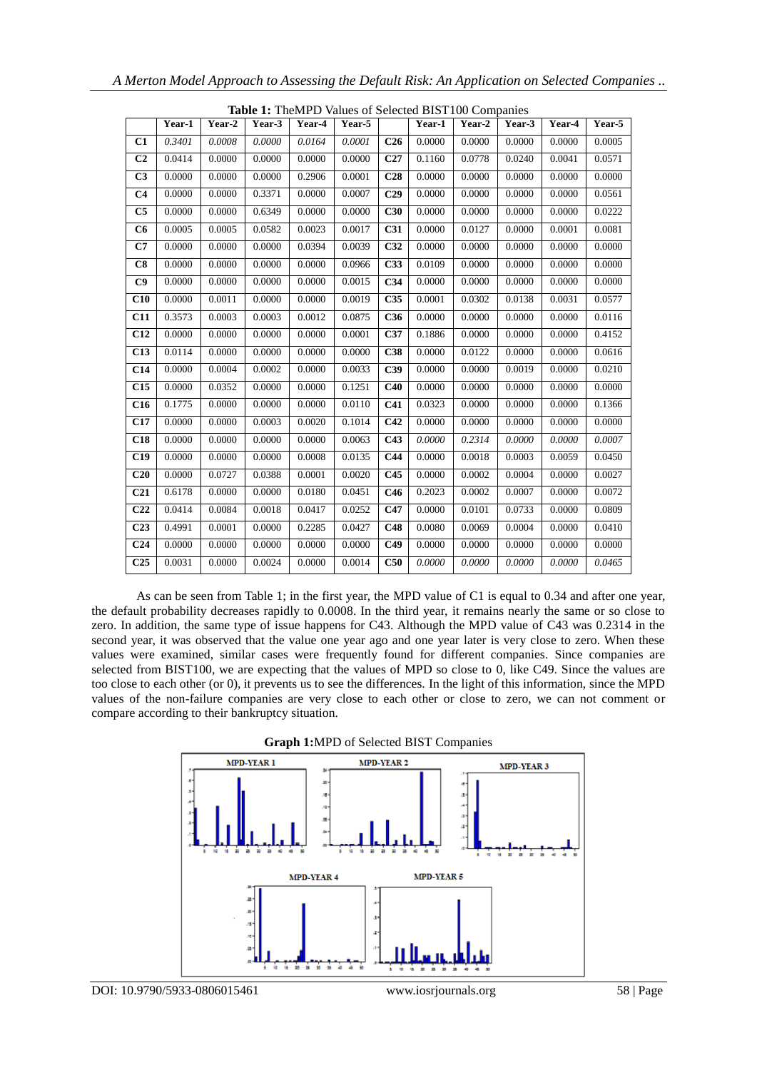|                 | <b>Table 1:</b> TheMPD Values of Selected BIST100 Companies |        |        |        |        |                 |        |        |        |        |        |
|-----------------|-------------------------------------------------------------|--------|--------|--------|--------|-----------------|--------|--------|--------|--------|--------|
|                 | Year-1                                                      | Year-2 | Year-3 | Year-4 | Year-5 |                 | Year-1 | Year-2 | Year-3 | Year-4 | Year-5 |
| C1              | 0.3401                                                      | 0.0008 | 0.0000 | 0.0164 | 0.0001 | C <sub>26</sub> | 0.0000 | 0.0000 | 0.0000 | 0.0000 | 0.0005 |
| C <sub>2</sub>  | 0.0414                                                      | 0.0000 | 0.0000 | 0.0000 | 0.0000 | C27             | 0.1160 | 0.0778 | 0.0240 | 0.0041 | 0.0571 |
| C <sub>3</sub>  | 0.0000                                                      | 0.0000 | 0.0000 | 0.2906 | 0.0001 | C28             | 0.0000 | 0.0000 | 0.0000 | 0.0000 | 0.0000 |
| C <sub>4</sub>  | 0.0000                                                      | 0.0000 | 0.3371 | 0.0000 | 0.0007 | C <sub>29</sub> | 0.0000 | 0.0000 | 0.0000 | 0.0000 | 0.0561 |
| C <sub>5</sub>  | 0.0000                                                      | 0.0000 | 0.6349 | 0.0000 | 0.0000 | C30             | 0.0000 | 0.0000 | 0.0000 | 0.0000 | 0.0222 |
| C6              | 0.0005                                                      | 0.0005 | 0.0582 | 0.0023 | 0.0017 | C <sub>31</sub> | 0.0000 | 0.0127 | 0.0000 | 0.0001 | 0.0081 |
| C7              | 0.0000                                                      | 0.0000 | 0.0000 | 0.0394 | 0.0039 | C <sub>32</sub> | 0.0000 | 0.0000 | 0.0000 | 0.0000 | 0.0000 |
| C8              | 0.0000                                                      | 0.0000 | 0.0000 | 0.0000 | 0.0966 | C33             | 0.0109 | 0.0000 | 0.0000 | 0.0000 | 0.0000 |
| C9              | 0.0000                                                      | 0.0000 | 0.0000 | 0.0000 | 0.0015 | C <sub>34</sub> | 0.0000 | 0.0000 | 0.0000 | 0.0000 | 0.0000 |
| C10             | 0.0000                                                      | 0.0011 | 0.0000 | 0.0000 | 0.0019 | C <sub>35</sub> | 0.0001 | 0.0302 | 0.0138 | 0.0031 | 0.0577 |
| C11             | 0.3573                                                      | 0.0003 | 0.0003 | 0.0012 | 0.0875 | <b>C36</b>      | 0.0000 | 0.0000 | 0.0000 | 0.0000 | 0.0116 |
| <b>C12</b>      | 0.0000                                                      | 0.0000 | 0.0000 | 0.0000 | 0.0001 | C37             | 0.1886 | 0.0000 | 0.0000 | 0.0000 | 0.4152 |
| C13             | 0.0114                                                      | 0.0000 | 0.0000 | 0.0000 | 0.0000 | C38             | 0.0000 | 0.0122 | 0.0000 | 0.0000 | 0.0616 |
| C14             | 0.0000                                                      | 0.0004 | 0.0002 | 0.0000 | 0.0033 | C39             | 0.0000 | 0.0000 | 0.0019 | 0.0000 | 0.0210 |
| C15             | 0.0000                                                      | 0.0352 | 0.0000 | 0.0000 | 0.1251 | C40             | 0.0000 | 0.0000 | 0.0000 | 0.0000 | 0.0000 |
| C16             | 0.1775                                                      | 0.0000 | 0.0000 | 0.0000 | 0.0110 | C <sub>41</sub> | 0.0323 | 0.0000 | 0.0000 | 0.0000 | 0.1366 |
| C <sub>17</sub> | 0.0000                                                      | 0.0000 | 0.0003 | 0.0020 | 0.1014 | C42             | 0.0000 | 0.0000 | 0.0000 | 0.0000 | 0.0000 |
| C18             | 0.0000                                                      | 0.0000 | 0.0000 | 0.0000 | 0.0063 | C43             | 0.0000 | 0.2314 | 0.0000 | 0.0000 | 0.0007 |
| C19             | 0.0000                                                      | 0.0000 | 0.0000 | 0.0008 | 0.0135 | C <sub>44</sub> | 0.0000 | 0.0018 | 0.0003 | 0.0059 | 0.0450 |
| C20             | 0.0000                                                      | 0.0727 | 0.0388 | 0.0001 | 0.0020 | C45             | 0.0000 | 0.0002 | 0.0004 | 0.0000 | 0.0027 |
| C <sub>21</sub> | 0.6178                                                      | 0.0000 | 0.0000 | 0.0180 | 0.0451 | C46             | 0.2023 | 0.0002 | 0.0007 | 0.0000 | 0.0072 |
| C <sub>22</sub> | 0.0414                                                      | 0.0084 | 0.0018 | 0.0417 | 0.0252 | C47             | 0.0000 | 0.0101 | 0.0733 | 0.0000 | 0.0809 |
| C <sub>23</sub> | 0.4991                                                      | 0.0001 | 0.0000 | 0.2285 | 0.0427 | C48             | 0.0080 | 0.0069 | 0.0004 | 0.0000 | 0.0410 |
| C <sub>24</sub> | 0.0000                                                      | 0.0000 | 0.0000 | 0.0000 | 0.0000 | C49             | 0.0000 | 0.0000 | 0.0000 | 0.0000 | 0.0000 |
| C <sub>25</sub> | 0.0031                                                      | 0.0000 | 0.0024 | 0.0000 | 0.0014 | C50             | 0.0000 | 0.0000 | 0.0000 | 0.0000 | 0.0465 |

**Table 1:** TheMPD Values of Selected BIST100 Companies

As can be seen from Table 1; in the first year, the MPD value of C1 is equal to 0.34 and after one year, the default probability decreases rapidly to 0.0008. In the third year, it remains nearly the same or so close to zero. In addition, the same type of issue happens for C43. Although the MPD value of C43 was 0.2314 in the second year, it was observed that the value one year ago and one year later is very close to zero. When these values were examined, similar cases were frequently found for different companies. Since companies are selected from BIST100, we are expecting that the values of MPD so close to 0, like C49. Since the values are too close to each other (or 0), it prevents us to see the differences. In the light of this information, since the MPD values of the non-failure companies are very close to each other or close to zero, we can not comment or compare according to their bankruptcy situation.



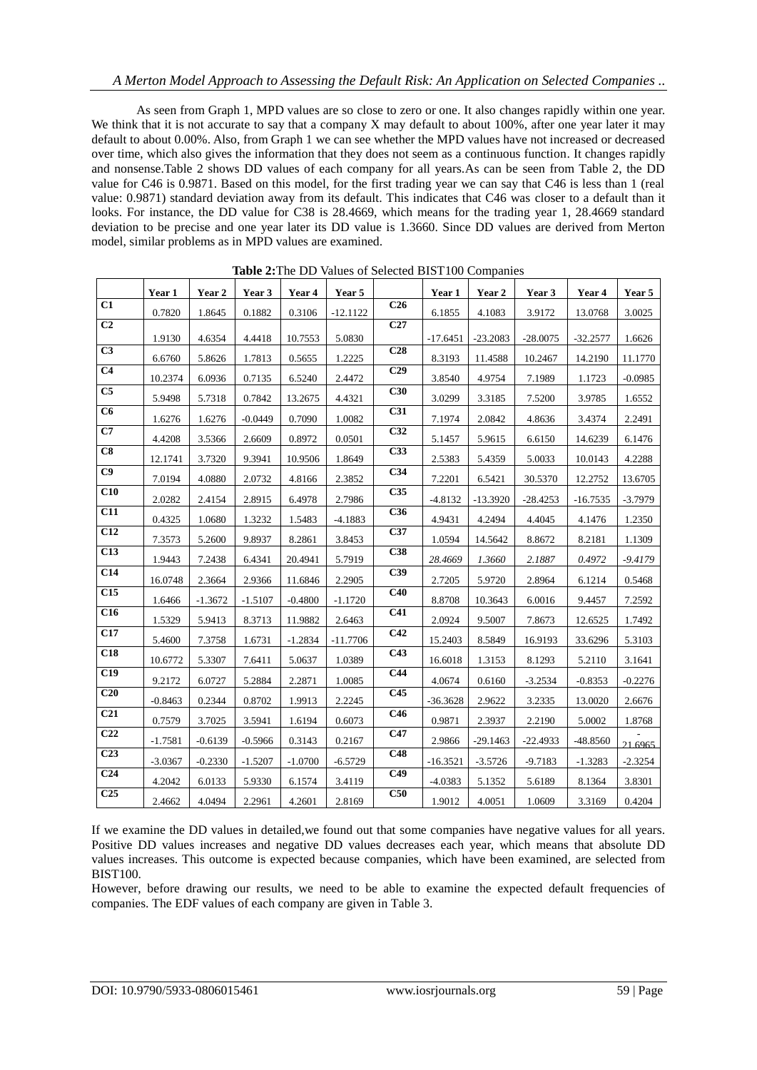As seen from Graph 1, MPD values are so close to zero or one. It also changes rapidly within one year. We think that it is not accurate to say that a company X may default to about 100%, after one year later it may default to about 0.00%. Also, from Graph 1 we can see whether the MPD values have not increased or decreased over time, which also gives the information that they does not seem as a continuous function. It changes rapidly and nonsense.Table 2 shows DD values of each company for all years.As can be seen from Table 2, the DD value for C46 is 0.9871. Based on this model, for the first trading year we can say that C46 is less than 1 (real value: 0.9871) standard deviation away from its default. This indicates that C46 was closer to a default than it looks. For instance, the DD value for C38 is 28.4669, which means for the trading year 1, 28.4669 standard deviation to be precise and one year later its DD value is 1.3660. Since DD values are derived from Merton model, similar problems as in MPD values are examined.

|                        | Year 1    | Year 2    | Year 3    | Year 4    | Year 5     |                  | Year 1     | Year 2     | Year 3     | Year 4     | Year 5    |
|------------------------|-----------|-----------|-----------|-----------|------------|------------------|------------|------------|------------|------------|-----------|
| $\overline{C1}$        | 0.7820    | 1.8645    | 0.1882    | 0.3106    | $-12.1122$ | C <sub>26</sub>  | 6.1855     | 4.1083     | 3.9172     | 13.0768    | 3.0025    |
| C <sub>2</sub>         |           |           |           |           |            | C27              |            |            |            |            |           |
|                        | 1.9130    | 4.6354    | 4.4418    | 10.7553   | 5.0830     |                  | $-17.6451$ | $-23.2083$ | $-28.0075$ | $-32.2577$ | 1.6626    |
| $\overline{C3}$        | 6.6760    | 5.8626    | 1.7813    | 0.5655    | 1.2225     | C <sub>28</sub>  | 8.3193     | 11.4588    | 10.2467    | 14.2190    | 11.1770   |
| C <sub>4</sub>         | 10.2374   | 6.0936    | 0.7135    | 6.5240    | 2.4472     | C <sub>29</sub>  | 3.8540     | 4.9754     | 7.1989     | 1.1723     | $-0.0985$ |
| C <sub>5</sub>         | 5.9498    | 5.7318    | 0.7842    | 13.2675   | 4.4321     | C30              | 3.0299     | 3.3185     | 7.5200     | 3.9785     | 1.6552    |
| $\overline{\text{C6}}$ | 1.6276    | 1.6276    | $-0.0449$ | 0.7090    | 1.0082     | C31              | 7.1974     | 2.0842     | 4.8636     | 3.4374     | 2.2491    |
| C7                     | 4.4208    | 3.5366    | 2.6609    | 0.8972    | 0.0501     | $\overline{C32}$ | 5.1457     | 5.9615     | 6.6150     | 14.6239    | 6.1476    |
| $\overline{\text{C8}}$ | 12.1741   | 3.7320    | 9.3941    | 10.9506   | 1.8649     | C33              | 2.5383     | 5.4359     | 5.0033     | 10.0143    | 4.2288    |
| C9                     | 7.0194    | 4.0880    | 2.0732    | 4.8166    | 2.3852     | C <sub>34</sub>  | 7.2201     | 6.5421     | 30.5370    | 12.2752    | 13.6705   |
| C10                    | 2.0282    | 2.4154    | 2.8915    | 6.4978    | 2.7986     | C35              | $-4.8132$  | $-13.3920$ | $-28.4253$ | $-16.7535$ | $-3.7979$ |
| $\overline{C11}$       | 0.4325    | 1.0680    | 1.3232    | 1.5483    | $-4.1883$  | C36              | 4.9431     | 4.2494     | 4.4045     | 4.1476     | 1.2350    |
| C12                    | 7.3573    | 5.2600    | 9.8937    | 8.2861    | 3.8453     | C37              | 1.0594     | 14.5642    | 8.8672     | 8.2181     | 1.1309    |
| C13                    | 1.9443    | 7.2438    | 6.4341    | 20.4941   | 5.7919     | C38              | 28.4669    | 1.3660     | 2.1887     | 0.4972     | $-9.4179$ |
| $\overline{C14}$       | 16.0748   | 2.3664    | 2.9366    | 11.6846   | 2.2905     | C39              | 2.7205     | 5.9720     | 2.8964     | 6.1214     | 0.5468    |
| C15                    | 1.6466    | $-1.3672$ | $-1.5107$ | $-0.4800$ | $-1.1720$  | C40              | 8.8708     | 10.3643    | 6.0016     | 9.4457     | 7.2592    |
| $\overline{C16}$       | 1.5329    | 5.9413    | 8.3713    | 11.9882   | 2.6463     | C <sub>41</sub>  | 2.0924     | 9.5007     | 7.8673     | 12.6525    | 1.7492    |
| C17                    | 5.4600    | 7.3758    | 1.6731    | $-1.2834$ | $-11.7706$ | C42              | 15.2403    | 8.5849     | 16.9193    | 33.6296    | 5.3103    |
| C18                    | 10.6772   | 5.3307    | 7.6411    | 5.0637    | 1.0389     | C43              | 16.6018    | 1.3153     | 8.1293     | 5.2110     | 3.1641    |
| C19                    | 9.2172    | 6.0727    | 5.2884    | 2.2871    | 1.0085     | C <sub>44</sub>  | 4.0674     | 0.6160     | $-3.2534$  | $-0.8353$  | $-0.2276$ |
| C20                    | $-0.8463$ | 0.2344    | 0.8702    | 1.9913    | 2.2245     | C45              | $-36.3628$ | 2.9622     | 3.2335     | 13.0020    | 2.6676    |
| C <sub>21</sub>        | 0.7579    | 3.7025    | 3.5941    | 1.6194    | 0.6073     | C46              | 0.9871     | 2.3937     | 2.2190     | 5.0002     | 1.8768    |
| C <sub>22</sub>        | $-1.7581$ | $-0.6139$ | $-0.5966$ | 0.3143    | 0.2167     | C47              | 2.9866     | $-29.1463$ | $-22.4933$ | $-48.8560$ | 21.6965   |
| C <sub>23</sub>        | $-3.0367$ | $-0.2330$ | $-1.5207$ | $-1.0700$ | $-6.5729$  | C48              | $-16.3521$ | $-3.5726$  | $-9.7183$  | $-1.3283$  | $-2.3254$ |
| C <sub>24</sub>        | 4.2042    | 6.0133    | 5.9330    | 6.1574    | 3.4119     | C49              | $-4.0383$  | 5.1352     | 5.6189     | 8.1364     | 3.8301    |
| C <sub>25</sub>        | 2.4662    | 4.0494    | 2.2961    | 4.2601    | 2.8169     | C50              | 1.9012     | 4.0051     | 1.0609     | 3.3169     | 0.4204    |

**Table 2:**The DD Values of Selected BIST100 Companies

If we examine the DD values in detailed,we found out that some companies have negative values for all years. Positive DD values increases and negative DD values decreases each year, which means that absolute DD values increases. This outcome is expected because companies, which have been examined, are selected from BIST100.

However, before drawing our results, we need to be able to examine the expected default frequencies of companies. The EDF values of each company are given in Table 3.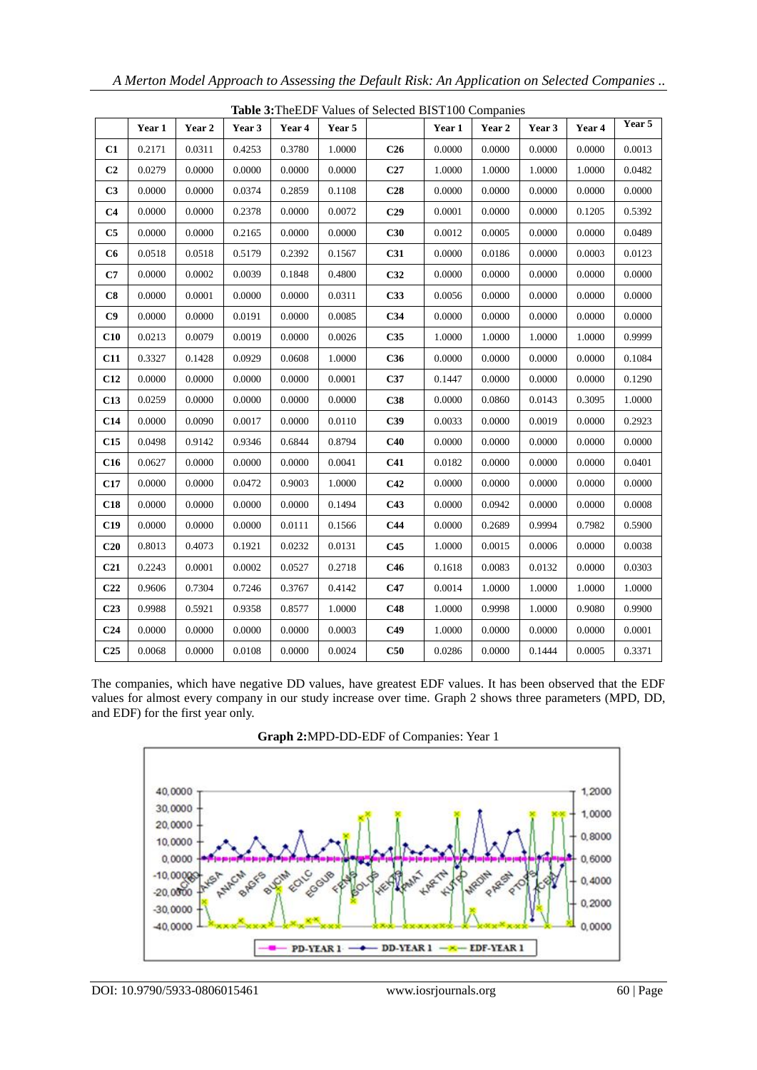|                 | Table 3: The EDF Values of Selected BIST100 Companies |        |        |        |        |                 |        |        |        |        |        |
|-----------------|-------------------------------------------------------|--------|--------|--------|--------|-----------------|--------|--------|--------|--------|--------|
|                 | Year 1                                                | Year 2 | Year 3 | Year 4 | Year 5 |                 | Year 1 | Year 2 | Year 3 | Year 4 | Year 5 |
| C1              | 0.2171                                                | 0.0311 | 0.4253 | 0.3780 | 1.0000 | C <sub>26</sub> | 0.0000 | 0.0000 | 0.0000 | 0.0000 | 0.0013 |
| C <sub>2</sub>  | 0.0279                                                | 0.0000 | 0.0000 | 0.0000 | 0.0000 | C27             | 1.0000 | 1.0000 | 1.0000 | 1.0000 | 0.0482 |
| C <sub>3</sub>  | 0.0000                                                | 0.0000 | 0.0374 | 0.2859 | 0.1108 | C <sub>28</sub> | 0.0000 | 0.0000 | 0.0000 | 0.0000 | 0.0000 |
| C <sub>4</sub>  | 0.0000                                                | 0.0000 | 0.2378 | 0.0000 | 0.0072 | C <sub>29</sub> | 0.0001 | 0.0000 | 0.0000 | 0.1205 | 0.5392 |
| C5              | 0.0000                                                | 0.0000 | 0.2165 | 0.0000 | 0.0000 | C30             | 0.0012 | 0.0005 | 0.0000 | 0.0000 | 0.0489 |
| C6              | 0.0518                                                | 0.0518 | 0.5179 | 0.2392 | 0.1567 | C31             | 0.0000 | 0.0186 | 0.0000 | 0.0003 | 0.0123 |
| C7              | 0.0000                                                | 0.0002 | 0.0039 | 0.1848 | 0.4800 | C32             | 0.0000 | 0.0000 | 0.0000 | 0.0000 | 0.0000 |
| C8              | 0.0000                                                | 0.0001 | 0.0000 | 0.0000 | 0.0311 | C33             | 0.0056 | 0.0000 | 0.0000 | 0.0000 | 0.0000 |
| C9              | 0.0000                                                | 0.0000 | 0.0191 | 0.0000 | 0.0085 | C34             | 0.0000 | 0.0000 | 0.0000 | 0.0000 | 0.0000 |
| C10             | 0.0213                                                | 0.0079 | 0.0019 | 0.0000 | 0.0026 | C35             | 1.0000 | 1.0000 | 1.0000 | 1.0000 | 0.9999 |
| C11             | 0.3327                                                | 0.1428 | 0.0929 | 0.0608 | 1.0000 | C36             | 0.0000 | 0.0000 | 0.0000 | 0.0000 | 0.1084 |
| C12             | 0.0000                                                | 0.0000 | 0.0000 | 0.0000 | 0.0001 | C37             | 0.1447 | 0.0000 | 0.0000 | 0.0000 | 0.1290 |
| C13             | 0.0259                                                | 0.0000 | 0.0000 | 0.0000 | 0.0000 | C38             | 0.0000 | 0.0860 | 0.0143 | 0.3095 | 1.0000 |
| C14             | 0.0000                                                | 0.0090 | 0.0017 | 0.0000 | 0.0110 | C39             | 0.0033 | 0.0000 | 0.0019 | 0.0000 | 0.2923 |
| C15             | 0.0498                                                | 0.9142 | 0.9346 | 0.6844 | 0.8794 | C40             | 0.0000 | 0.0000 | 0.0000 | 0.0000 | 0.0000 |
| C16             | 0.0627                                                | 0.0000 | 0.0000 | 0.0000 | 0.0041 | C <sub>41</sub> | 0.0182 | 0.0000 | 0.0000 | 0.0000 | 0.0401 |
| C17             | 0.0000                                                | 0.0000 | 0.0472 | 0.9003 | 1.0000 | C42             | 0.0000 | 0.0000 | 0.0000 | 0.0000 | 0.0000 |
| C18             | 0.0000                                                | 0.0000 | 0.0000 | 0.0000 | 0.1494 | C43             | 0.0000 | 0.0942 | 0.0000 | 0.0000 | 0.0008 |
| C19             | 0.0000                                                | 0.0000 | 0.0000 | 0.0111 | 0.1566 | C <sub>44</sub> | 0.0000 | 0.2689 | 0.9994 | 0.7982 | 0.5900 |
| C20             | 0.8013                                                | 0.4073 | 0.1921 | 0.0232 | 0.0131 | C45             | 1.0000 | 0.0015 | 0.0006 | 0.0000 | 0.0038 |
| C <sub>21</sub> | 0.2243                                                | 0.0001 | 0.0002 | 0.0527 | 0.2718 | C46             | 0.1618 | 0.0083 | 0.0132 | 0.0000 | 0.0303 |
| C <sub>22</sub> | 0.9606                                                | 0.7304 | 0.7246 | 0.3767 | 0.4142 | C47             | 0.0014 | 1.0000 | 1.0000 | 1.0000 | 1.0000 |
| C <sub>23</sub> | 0.9988                                                | 0.5921 | 0.9358 | 0.8577 | 1.0000 | C48             | 1.0000 | 0.9998 | 1.0000 | 0.9080 | 0.9900 |
| C <sub>24</sub> | 0.0000                                                | 0.0000 | 0.0000 | 0.0000 | 0.0003 | C49             | 1.0000 | 0.0000 | 0.0000 | 0.0000 | 0.0001 |
| C <sub>25</sub> | 0.0068                                                | 0.0000 | 0.0108 | 0.0000 | 0.0024 | C50             | 0.0286 | 0.0000 | 0.1444 | 0.0005 | 0.3371 |

The companies, which have negative DD values, have greatest EDF values. It has been observed that the EDF values for almost every company in our study increase over time. Graph 2 shows three parameters (MPD, DD, and EDF) for the first year only.





DOI: 10.9790/5933-0806015461 www.iosrjournals.org 60 | Page